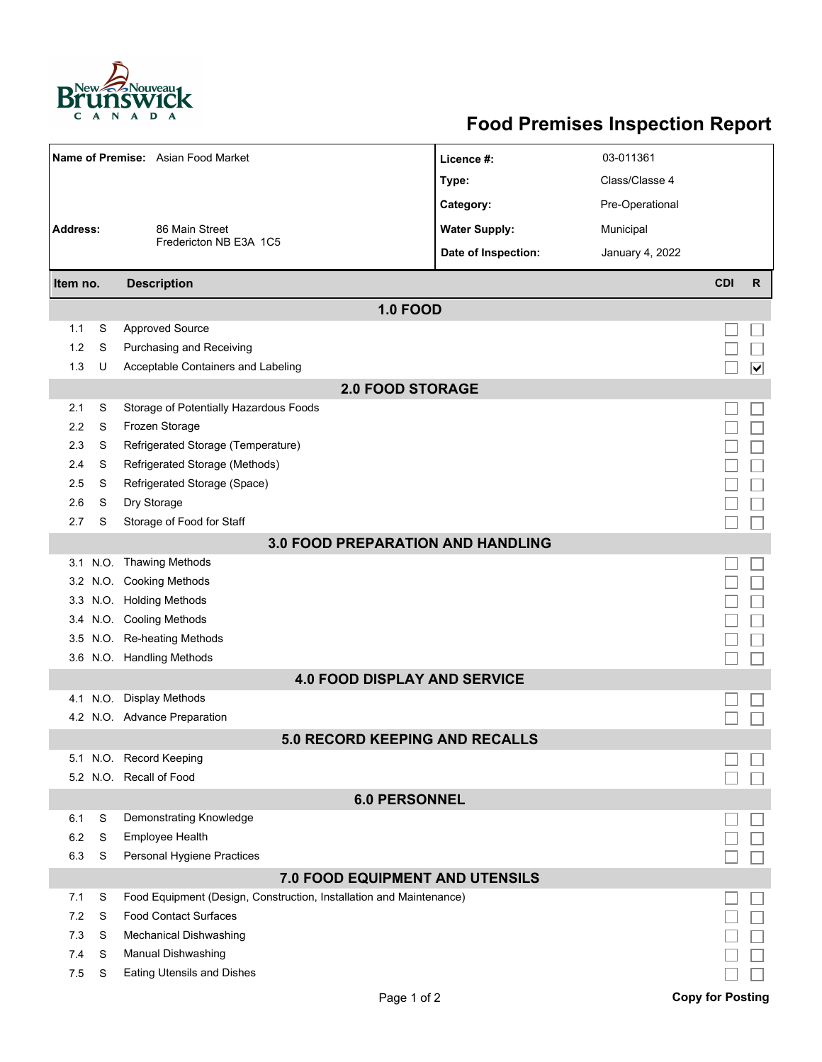

## **Food Premises Inspection Report**

| Name of Premise: Asian Food Market       |          |                                                                     | Licence #:           | 03-011361       |                         |                         |  |  |  |  |  |
|------------------------------------------|----------|---------------------------------------------------------------------|----------------------|-----------------|-------------------------|-------------------------|--|--|--|--|--|
|                                          |          |                                                                     | Type:                | Class/Classe 4  |                         |                         |  |  |  |  |  |
|                                          |          |                                                                     | Category:            | Pre-Operational |                         |                         |  |  |  |  |  |
| <b>Address:</b>                          |          | 86 Main Street                                                      | <b>Water Supply:</b> | Municipal       |                         |                         |  |  |  |  |  |
|                                          |          | Fredericton NB E3A 1C5                                              | Date of Inspection:  | January 4, 2022 |                         |                         |  |  |  |  |  |
|                                          |          |                                                                     |                      |                 |                         |                         |  |  |  |  |  |
| Item no.                                 |          | <b>Description</b>                                                  |                      |                 | <b>CDI</b>              | $\mathsf{R}$            |  |  |  |  |  |
|                                          |          | <b>1.0 FOOD</b>                                                     |                      |                 |                         |                         |  |  |  |  |  |
| 1.1                                      | S        | <b>Approved Source</b>                                              |                      |                 |                         |                         |  |  |  |  |  |
| 1.2                                      | S        | Purchasing and Receiving                                            |                      |                 |                         |                         |  |  |  |  |  |
| 1.3                                      | U        | Acceptable Containers and Labeling                                  |                      |                 |                         | $\overline{\mathbf{v}}$ |  |  |  |  |  |
| <b>2.0 FOOD STORAGE</b>                  |          |                                                                     |                      |                 |                         |                         |  |  |  |  |  |
| 2.1                                      | S        | Storage of Potentially Hazardous Foods                              |                      |                 |                         |                         |  |  |  |  |  |
| 2.2                                      | S        | Frozen Storage                                                      |                      |                 |                         |                         |  |  |  |  |  |
| 2.3                                      | S        | Refrigerated Storage (Temperature)                                  |                      |                 |                         |                         |  |  |  |  |  |
| 2.4                                      | S        | Refrigerated Storage (Methods)                                      |                      |                 |                         |                         |  |  |  |  |  |
| 2.5                                      | S        | Refrigerated Storage (Space)                                        |                      |                 |                         |                         |  |  |  |  |  |
| 2.6                                      | S        | Dry Storage                                                         |                      |                 |                         |                         |  |  |  |  |  |
| 2.7                                      | S        | Storage of Food for Staff                                           |                      |                 |                         |                         |  |  |  |  |  |
| <b>3.0 FOOD PREPARATION AND HANDLING</b> |          |                                                                     |                      |                 |                         |                         |  |  |  |  |  |
|                                          |          | 3.1 N.O. Thawing Methods                                            |                      |                 |                         |                         |  |  |  |  |  |
|                                          |          | 3.2 N.O. Cooking Methods                                            |                      |                 |                         |                         |  |  |  |  |  |
|                                          |          | 3.3 N.O. Holding Methods                                            |                      |                 |                         |                         |  |  |  |  |  |
|                                          |          | 3.4 N.O. Cooling Methods                                            |                      |                 |                         |                         |  |  |  |  |  |
| 3.5                                      |          | N.O. Re-heating Methods                                             |                      |                 |                         |                         |  |  |  |  |  |
|                                          |          | 3.6 N.O. Handling Methods                                           |                      |                 |                         |                         |  |  |  |  |  |
|                                          |          | <b>4.0 FOOD DISPLAY AND SERVICE</b>                                 |                      |                 |                         |                         |  |  |  |  |  |
|                                          | 4.1 N.O. | <b>Display Methods</b>                                              |                      |                 |                         |                         |  |  |  |  |  |
|                                          |          | 4.2 N.O. Advance Preparation                                        |                      |                 |                         |                         |  |  |  |  |  |
|                                          |          | <b>5.0 RECORD KEEPING AND RECALLS</b>                               |                      |                 |                         |                         |  |  |  |  |  |
|                                          |          | 5.1 N.O. Record Keeping                                             |                      |                 |                         |                         |  |  |  |  |  |
|                                          |          | 5.2 N.O. Recall of Food                                             |                      |                 |                         |                         |  |  |  |  |  |
| <b>6.0 PERSONNEL</b>                     |          |                                                                     |                      |                 |                         |                         |  |  |  |  |  |
| 6.1                                      | S        | Demonstrating Knowledge                                             |                      |                 |                         |                         |  |  |  |  |  |
| 6.2                                      | S        | Employee Health                                                     |                      |                 |                         |                         |  |  |  |  |  |
| 6.3                                      | S        | Personal Hygiene Practices                                          |                      |                 |                         |                         |  |  |  |  |  |
| 7.0 FOOD EQUIPMENT AND UTENSILS          |          |                                                                     |                      |                 |                         |                         |  |  |  |  |  |
| 7.1                                      | S        | Food Equipment (Design, Construction, Installation and Maintenance) |                      |                 |                         |                         |  |  |  |  |  |
| 7.2                                      | S        | <b>Food Contact Surfaces</b>                                        |                      |                 |                         |                         |  |  |  |  |  |
| 7.3                                      | S        | <b>Mechanical Dishwashing</b>                                       |                      |                 |                         |                         |  |  |  |  |  |
| 7.4                                      | S        | Manual Dishwashing                                                  |                      |                 |                         |                         |  |  |  |  |  |
| 7.5                                      | S        | Eating Utensils and Dishes                                          |                      |                 |                         |                         |  |  |  |  |  |
|                                          |          | Page 1 of 2                                                         |                      |                 | <b>Copy for Posting</b> |                         |  |  |  |  |  |